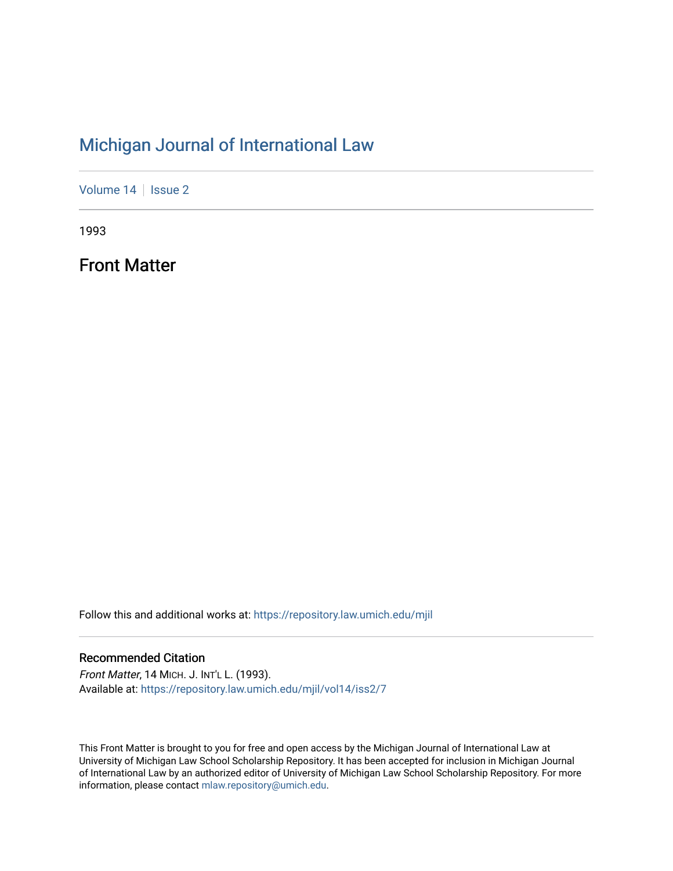### [Michigan Journal of International Law](https://repository.law.umich.edu/mjil)

[Volume 14](https://repository.law.umich.edu/mjil/vol14) | [Issue 2](https://repository.law.umich.edu/mjil/vol14/iss2)

1993

Front Matter

Follow this and additional works at: [https://repository.law.umich.edu/mjil](https://repository.law.umich.edu/mjil?utm_source=repository.law.umich.edu%2Fmjil%2Fvol14%2Fiss2%2F7&utm_medium=PDF&utm_campaign=PDFCoverPages) 

### Recommended Citation

Front Matter, 14 MICH. J. INT'L L. (1993). Available at: [https://repository.law.umich.edu/mjil/vol14/iss2/7](https://repository.law.umich.edu/mjil/vol14/iss2/7?utm_source=repository.law.umich.edu%2Fmjil%2Fvol14%2Fiss2%2F7&utm_medium=PDF&utm_campaign=PDFCoverPages) 

This Front Matter is brought to you for free and open access by the Michigan Journal of International Law at University of Michigan Law School Scholarship Repository. It has been accepted for inclusion in Michigan Journal of International Law by an authorized editor of University of Michigan Law School Scholarship Repository. For more information, please contact [mlaw.repository@umich.edu](mailto:mlaw.repository@umich.edu).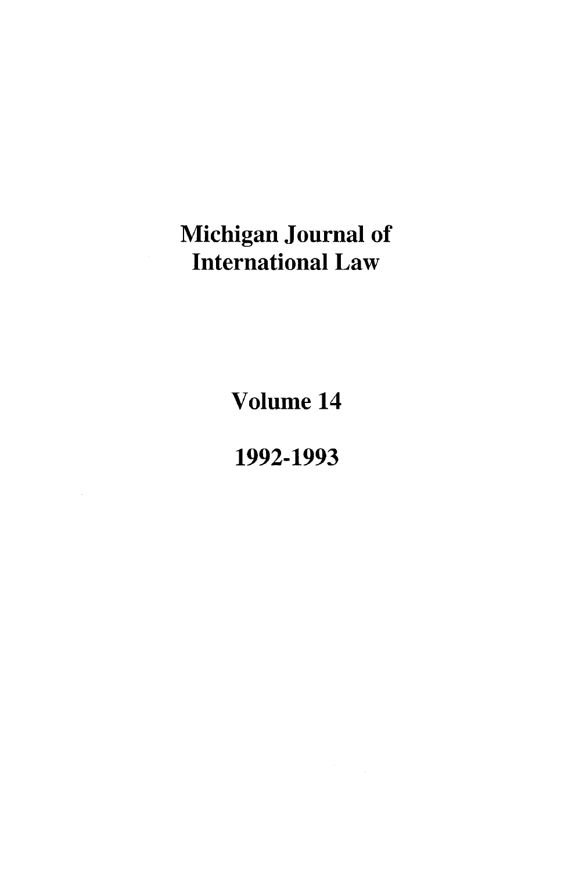# Michigan Journal of International Law

Volume 14

**1992-1993**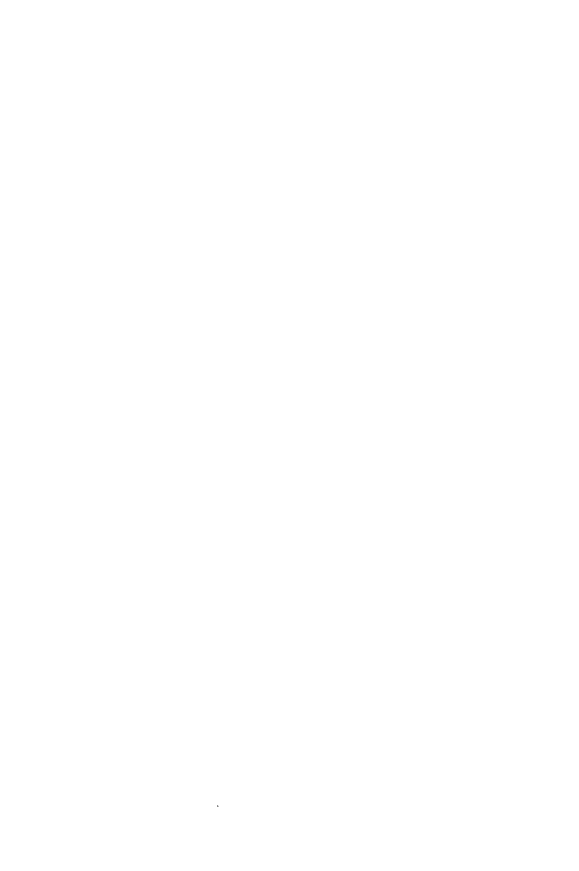$\mathcal{L}^{\text{max}}_{\text{max}}$  , where  $\mathcal{L}^{\text{max}}_{\text{max}}$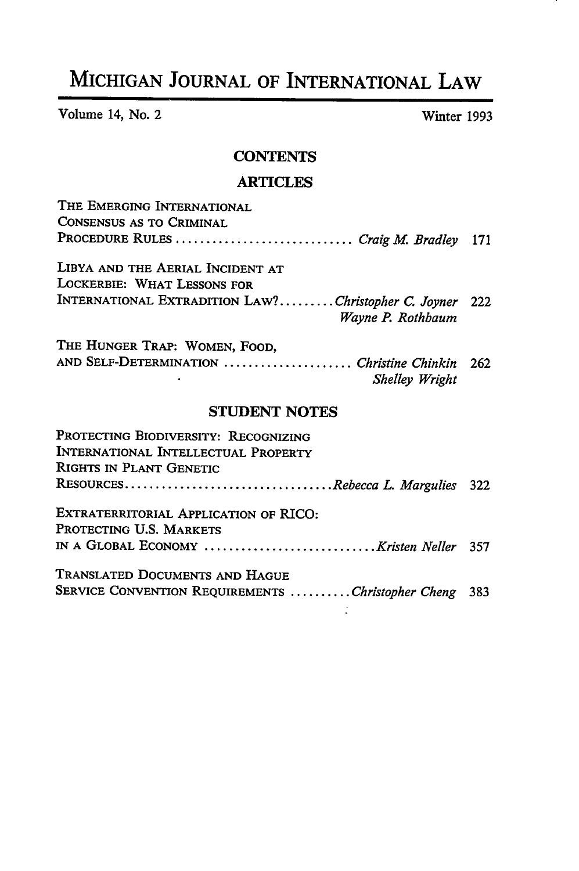# MICHIGAN **JOURNAL** OF INTERNATIONAL LAW

Volume 14, No. 2 Winter **1993**

#### **CONTENTS**

#### ARTICLES

| THE EMERGING INTERNATIONAL                                                   |  |
|------------------------------------------------------------------------------|--|
| CONSENSUS AS TO CRIMINAL                                                     |  |
| PROCEDURE RULES  Craig M. Bradley 171                                        |  |
| LIBYA AND THE AERIAL INCIDENT AT                                             |  |
| LOCKERBIE: WHAT LESSONS FOR                                                  |  |
| INTERNATIONAL EXTRADITION LAW?Christopher C. Joyner 222<br>Wayne P. Rothbaum |  |
| THE HUNGER TRAP: WOMEN, FOOD,                                                |  |
| AND SELF-DETERMINATION  Christine Chinkin 262<br><b>Shelley Wright</b>       |  |
| <b>STUDENT NOTES</b>                                                         |  |
| PROTECTING BIODIVERSITY: RECOGNIZING                                         |  |
| INTERNATIONAL INTELLECTUAL PROPERTY                                          |  |
| RIGHTS IN PLANT GENETIC                                                      |  |
| RESOURCESRebecca L. Margulies 322                                            |  |
| EXTRATERRITORIAL APPLICATION OF RICO:                                        |  |
| PROTECTING U.S. MARKETS                                                      |  |
| IN A GLOBAL ECONOMY Kristen Neller 357                                       |  |
| TRANSLATED DOCUMENTS AND HAGUE                                               |  |
| SERVICE CONVENTION REQUIREMENTS Christopher Cheng 383                        |  |
|                                                                              |  |

 $\ddot{\downarrow}$